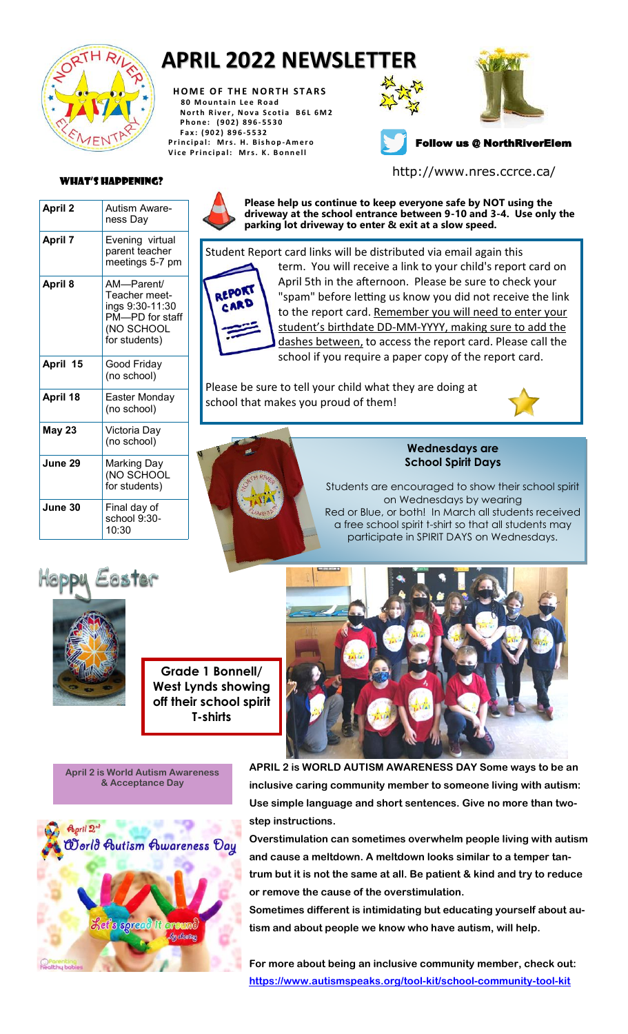

# **APRIL 2022 NEWSLETTER**

**HOME OF THE NORTH STARS 8 0 M o u n t a i n L e e R o a d North River, Nova Scotia B6L 6M2 P h o n e : ( 9 0 2 ) 8 9 6 - 5530 F a x : ( 9 0 2 ) 8 9 6 - 5532 P r i n c i p a l : M r s . H . B is h o p -A m e r o** Vice Principal: Mrs. K. Bonnell





## Follow us @ NorthRiverElem

http://www.nres.ccrce.ca/

#### What's Happening?

| April 2        | Autism Aware-<br>ness Day                                                                         |  |  |  |  |
|----------------|---------------------------------------------------------------------------------------------------|--|--|--|--|
| <b>April 7</b> | Evening virtual<br>parent teacher<br>meetings 5-7 pm                                              |  |  |  |  |
| April 8        | AM-Parent/<br>Teacher meet-<br>ings 9:30-11:30<br>PM--PD for staff<br>(NO SCHOOL<br>for students) |  |  |  |  |
| April 15       | Good Friday<br>(no school)                                                                        |  |  |  |  |
| April 18       | Easter Monday<br>(no school)                                                                      |  |  |  |  |
| <b>May 23</b>  | Victoria Day<br>(no school)                                                                       |  |  |  |  |
| June 29        | Marking Day<br>(NO SCHOOL<br>for students)                                                        |  |  |  |  |
| June 30        | Final day of<br>school 9:30-<br>10:30                                                             |  |  |  |  |



**Please help us continue to keep everyone safe by NOT using the driveway at the school entrance between 9-10 and 3-4. Use only the parking lot driveway to enter & exit at a slow speed.**

REPORT CARD

Student Report card links will be distributed via email again this term. You will receive a link to your child's report card on April 5th in the afternoon. Please be sure to check your "spam" before letting us know you did not receive the link to the report card. Remember you will need to enter your student's birthdate DD-MM-YYYY, making sure to add the dashes between, to access the report card. Please call the school if you require a paper copy of the report card.

Please be sure to tell your child what they are doing at school that makes you proud of them!



#### **Wednesdays are School Spirit Days**

Students are encouraged to show their school spirit on Wednesdays by wearing Red or Blue, or both! In March all students received a free school spirit t-shirt so that all students may participate in SPIRIT DAYS on Wednesdays.





**Grade 1 Bonnell/ West Lynds showing off their school spirit T-shirts** 

**April 2 is World Autism Awareness & Acceptance Day** 



**APRIL 2 is WORLD AUTISM AWARENESS DAY Some ways to be an inclusive caring community member to someone living with autism: Use simple language and short sentences. Give no more than twostep instructions.** 

**Overstimulation can sometimes overwhelm people living with autism and cause a meltdown. A meltdown looks similar to a temper tantrum but it is not the same at all. Be patient & kind and try to reduce or remove the cause of the overstimulation.**

**Sometimes different is intimidating but educating yourself about autism and about people we know who have autism, will help.**

**For more about being an inclusive community member, check out: <https://www.autismspeaks.org/tool-kit/school-community-tool-kit>**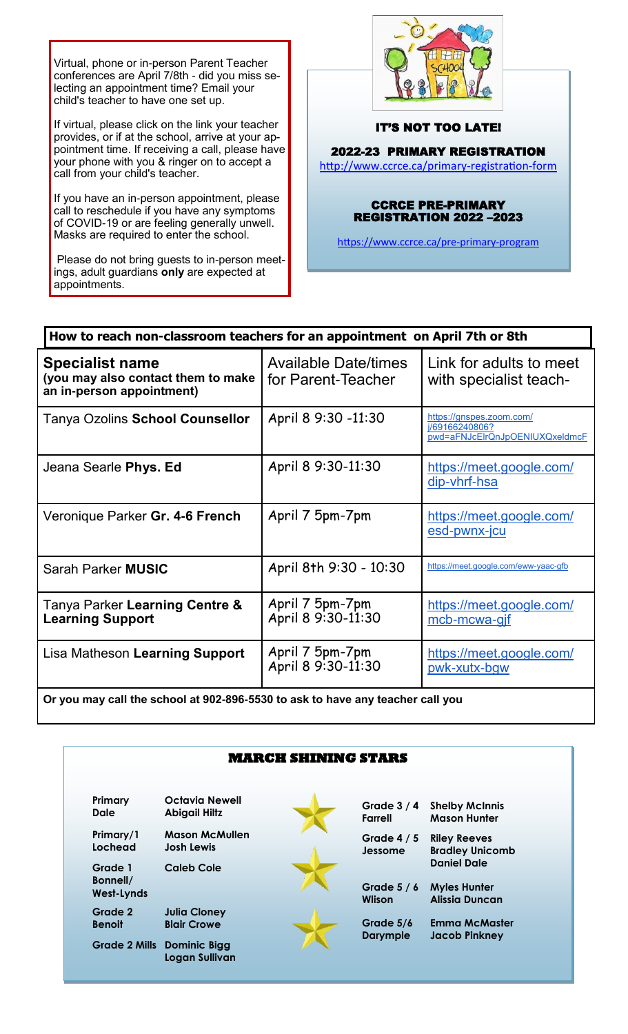Virtual, phone or in-person Parent Teacher conferences are April 7/8th - did you miss selecting an appointment time? Email your child's teacher to have one set up.

If virtual, please click on the link your teacher provides, or if at the school, arrive at your appointment time. If receiving a call, please have your phone with you & ringer on to accept a call from your child's teacher.

If you have an in-person appointment, please call to reschedule if you have any symptoms of COVID-19 or are feeling generally unwell. Masks are required to enter the school.

Please do not bring guests to in-person meetings, adult guardians **only** are expected at appointments.



### IT'S NOT TOO LATE!

2022-23 PRIMARY REGISTRATION

[http://www.ccrce.ca/primary](http://www.ccrce.ca/primary-registration-form)-registration-form

#### CCRCE PRE-PRIMARY REGISTRATION 2022 –2023

[https://www.ccrce.ca/pre](https://www.ccrce.ca/pre-primary-program)-primary-program

| How to reach non-classroom teachers for an appointment on April 7th or 8th                |                                                   |                                                                              |  |  |  |  |
|-------------------------------------------------------------------------------------------|---------------------------------------------------|------------------------------------------------------------------------------|--|--|--|--|
| <b>Specialist name</b><br>(you may also contact them to make<br>an in-person appointment) | <b>Available Date/times</b><br>for Parent-Teacher | Link for adults to meet<br>with specialist teach-                            |  |  |  |  |
| Tanya Ozolins School Counsellor                                                           | April 8 9:30 -11:30                               | https://gnspes.zoom.com/<br>j/69166240806?<br>pwd=aFNJcElrQnJpOENIUXQxeldmcF |  |  |  |  |
| Jeana Searle Phys. Ed                                                                     | April 8 9:30-11:30                                | https://meet.google.com/<br>dip-vhrf-hsa                                     |  |  |  |  |
| Veronique Parker Gr. 4-6 French                                                           | April 7 5pm-7pm                                   | https://meet.google.com/<br>esd-pwnx-jcu                                     |  |  |  |  |
| Sarah Parker MUSIC                                                                        | April 8th 9:30 - 10:30                            | https://meet.google.com/eww-yaac-gfb                                         |  |  |  |  |
| Tanya Parker Learning Centre &<br><b>Learning Support</b>                                 | April 7 5pm-7pm<br>April 8 9:30-11:30             | https://meet.google.com/<br>mcb-mcwa-gif                                     |  |  |  |  |
| Lisa Matheson Learning Support                                                            | April 7 5pm-7pm<br>April 8 9:30-11:30             | https://meet.google.com/<br>pwk-xutx-bgw                                     |  |  |  |  |
| $\sim$ all the extended of 000,000 FF00 to extern home and teachers all seen              |                                                   |                                                                              |  |  |  |  |

**Or you may call the school at 902-896-5530 to ask to have any teacher call you**

| <b>MARCH SHINING STARS</b>               |                                                     |  |                              |                                                                    |  |  |  |
|------------------------------------------|-----------------------------------------------------|--|------------------------------|--------------------------------------------------------------------|--|--|--|
|                                          |                                                     |  |                              |                                                                    |  |  |  |
| Primary/1<br>Lochead                     | <b>Mason McMullen</b><br><b>Josh Lewis</b>          |  | Grade $4/5$<br>Jessome       | <b>Riley Reeves</b><br><b>Bradley Unicomb</b>                      |  |  |  |
| Grade 1<br>Bonnell/<br><b>West-Lynds</b> | <b>Caleb Cole</b>                                   |  | Grade $5/6$<br><b>Wlison</b> | <b>Daniel Dale</b><br><b>Myles Hunter</b><br><b>Alissia Duncan</b> |  |  |  |
| Grade 2<br><b>Benoit</b>                 | <b>Julia Cloney</b><br><b>Blair Crowe</b>           |  | Grade 5/6                    | <b>Emma McMaster</b>                                               |  |  |  |
|                                          | <b>Grade 2 Mills Dominic Bigg</b><br>Logan Sullivan |  | <b>Darymple</b>              | <b>Jacob Pinkney</b>                                               |  |  |  |